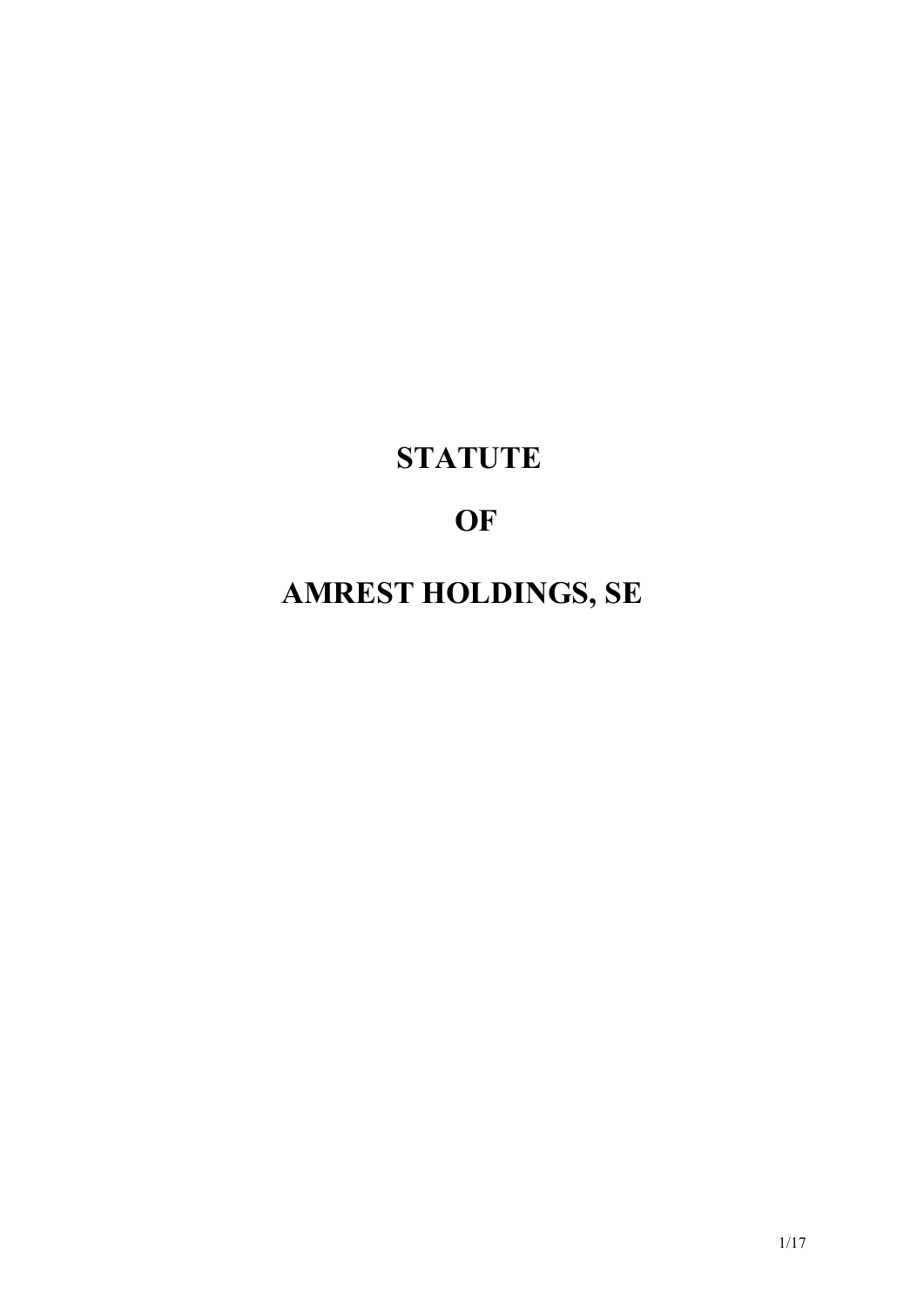# **STATUTE**

# **OF**

# **AMREST HOLDINGS, SE**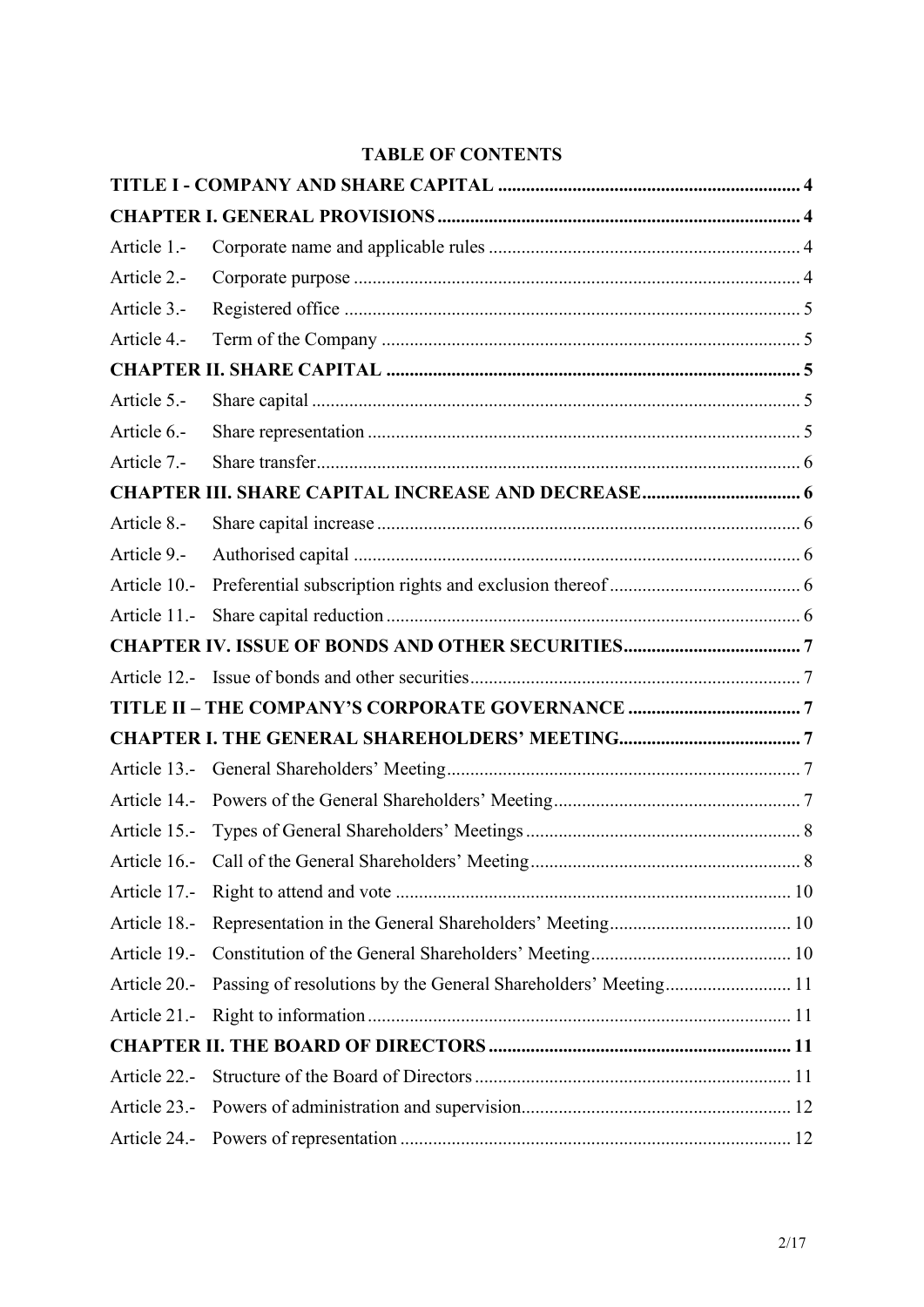# **TABLE OF CONTENTS**

| Article 1.-  |                                                                |  |
|--------------|----------------------------------------------------------------|--|
| Article 2.-  |                                                                |  |
| Article 3.-  |                                                                |  |
| Article 4.-  |                                                                |  |
|              |                                                                |  |
| Article 5.-  |                                                                |  |
| Article 6.-  |                                                                |  |
| Article 7.-  |                                                                |  |
|              | <b>CHAPTER III. SHARE CAPITAL INCREASE AND DECREASE 6</b>      |  |
| Article 8.-  |                                                                |  |
| Article 9.-  |                                                                |  |
| Article 10.- |                                                                |  |
| Article 11.- |                                                                |  |
|              |                                                                |  |
|              |                                                                |  |
|              |                                                                |  |
|              |                                                                |  |
|              |                                                                |  |
| Article 14.- |                                                                |  |
| Article 15.- |                                                                |  |
|              |                                                                |  |
| Article 17.- |                                                                |  |
| Article 18.- |                                                                |  |
| Article 19.- |                                                                |  |
| Article 20.- | Passing of resolutions by the General Shareholders' Meeting 11 |  |
| Article 21.- |                                                                |  |
|              |                                                                |  |
| Article 22.- |                                                                |  |
| Article 23.- |                                                                |  |
|              |                                                                |  |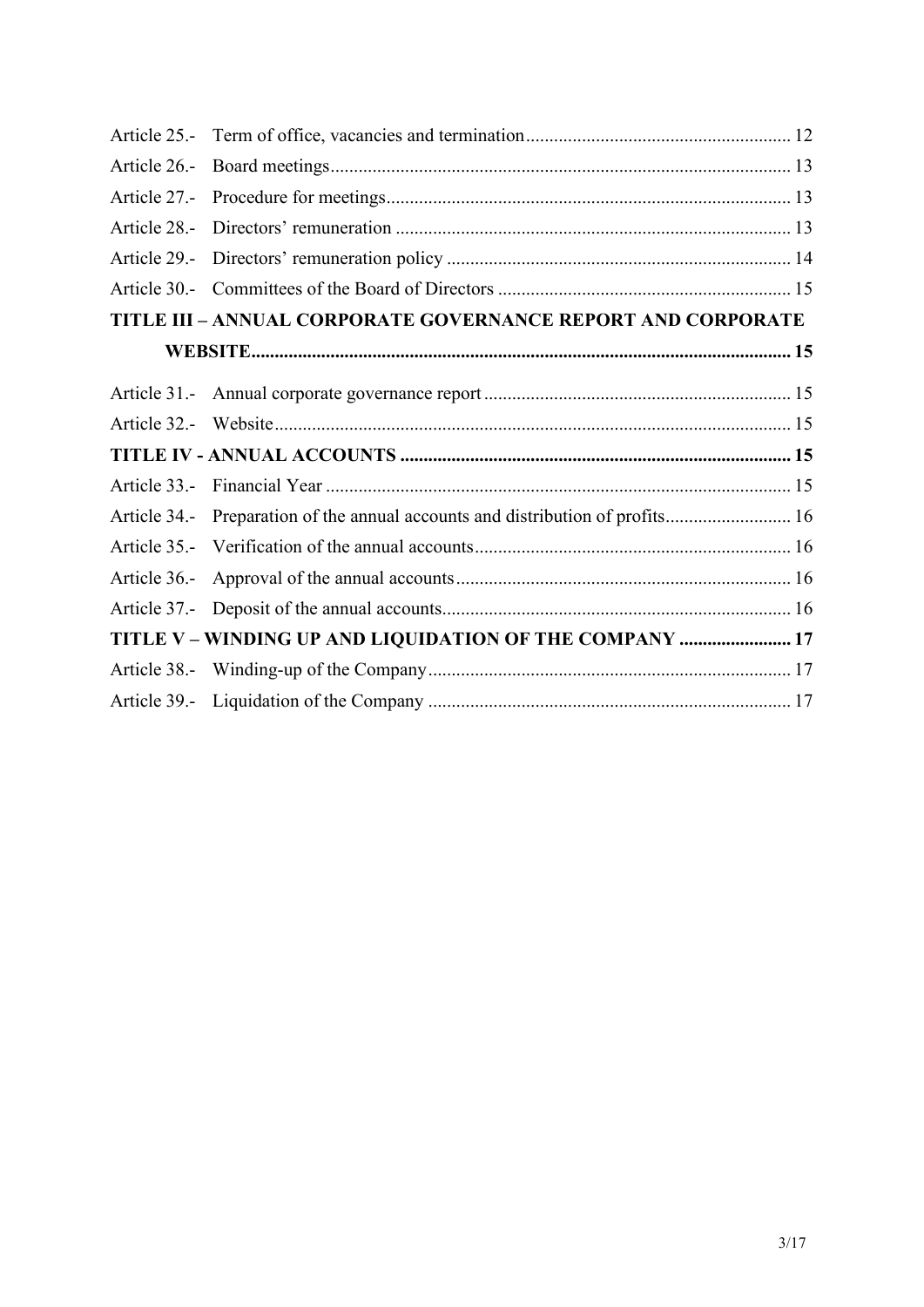| TITLE III - ANNUAL CORPORATE GOVERNANCE REPORT AND CORPORATE |                                                                                |  |  |  |
|--------------------------------------------------------------|--------------------------------------------------------------------------------|--|--|--|
|                                                              |                                                                                |  |  |  |
|                                                              |                                                                                |  |  |  |
|                                                              |                                                                                |  |  |  |
|                                                              |                                                                                |  |  |  |
|                                                              |                                                                                |  |  |  |
|                                                              | Article 34.- Preparation of the annual accounts and distribution of profits 16 |  |  |  |
|                                                              |                                                                                |  |  |  |
|                                                              |                                                                                |  |  |  |
|                                                              |                                                                                |  |  |  |
| TITLE V - WINDING UP AND LIQUIDATION OF THE COMPANY  17      |                                                                                |  |  |  |
|                                                              |                                                                                |  |  |  |
|                                                              |                                                                                |  |  |  |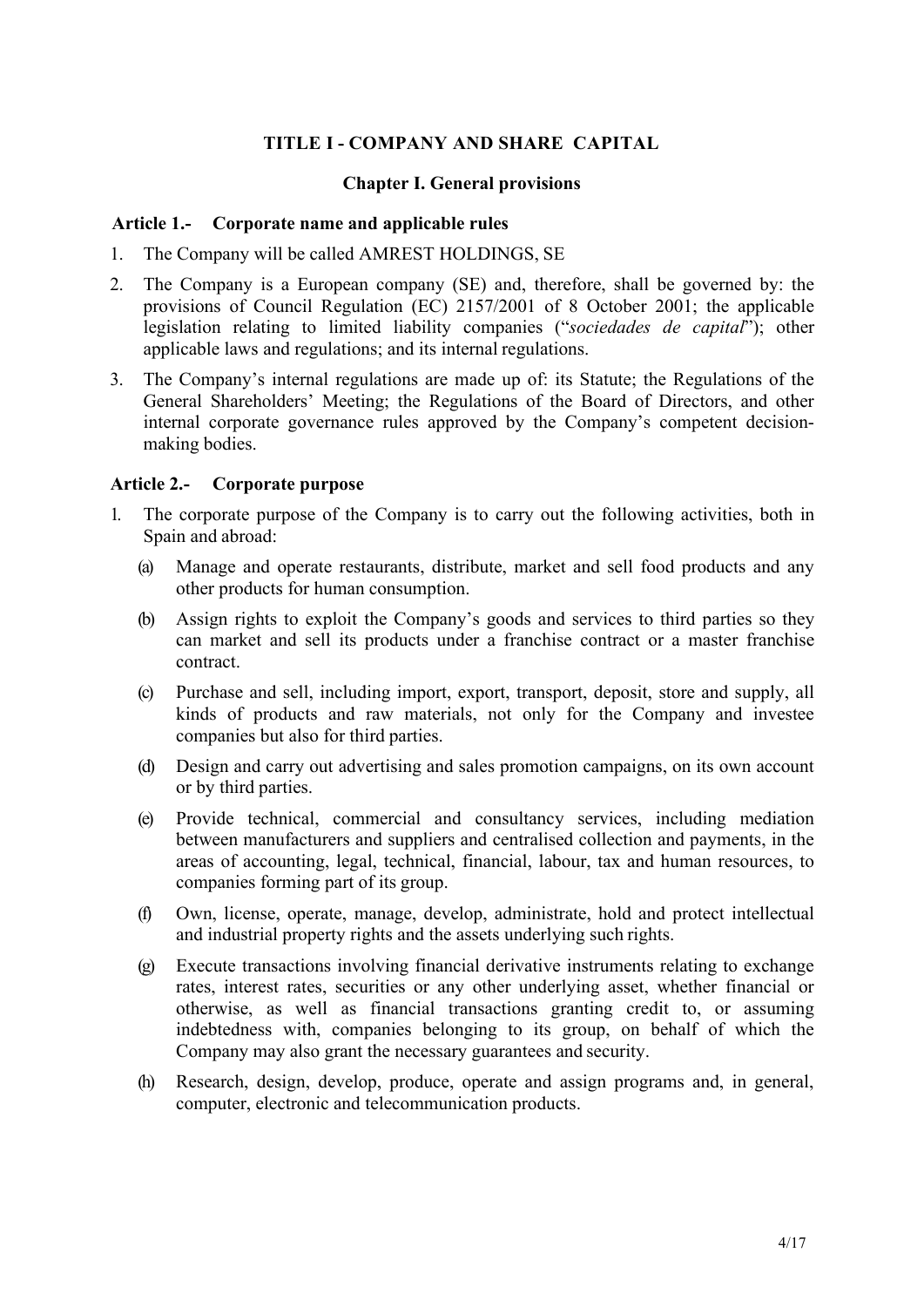# **TITLE I - COMPANY AND SHARE CAPITAL**

#### <span id="page-3-2"></span>**Chapter I. General provisions**

### <span id="page-3-1"></span><span id="page-3-0"></span>**Article 1.- Corporate name and applicable rules**

- 1. The Company will be called AMREST HOLDINGS, SE
- 2. The Company is a European company (SE) and, therefore, shall be governed by: the provisions of Council Regulation (EC) 2157/2001 of 8 October 2001; the applicable legislation relating to limited liability companies ("*sociedades de capital*"); other applicable laws and regulations; and its internal regulations.
- 3. The Company's internal regulations are made up of: its Statute; the Regulations of the General Shareholders' Meeting; the Regulations of the Board of Directors, and other internal corporate governance rules approved by the Company's competent decisionmaking bodies.

## <span id="page-3-3"></span>**Article 2.- Corporate purpose**

- 1. The corporate purpose of the Company is to carry out the following activities, both in Spain and abroad:
	- (a) Manage and operate restaurants, distribute, market and sell food products and any other products for human consumption.
	- (b) Assign rights to exploit the Company's goods and services to third parties so they can market and sell its products under a franchise contract or a master franchise contract.
	- (c) Purchase and sell, including import, export, transport, deposit, store and supply, all kinds of products and raw materials, not only for the Company and investee companies but also for third parties.
	- (d) Design and carry out advertising and sales promotion campaigns, on its own account or by third parties.
	- (e) Provide technical, commercial and consultancy services, including mediation between manufacturers and suppliers and centralised collection and payments, in the areas of accounting, legal, technical, financial, labour, tax and human resources, to companies forming part of its group.
	- (f) Own, license, operate, manage, develop, administrate, hold and protect intellectual and industrial property rights and the assets underlying such rights.
	- (g) Execute transactions involving financial derivative instruments relating to exchange rates, interest rates, securities or any other underlying asset, whether financial or otherwise, as well as financial transactions granting credit to, or assuming indebtedness with, companies belonging to its group, on behalf of which the Company may also grant the necessary guarantees and security.
	- (h) Research, design, develop, produce, operate and assign programs and, in general, computer, electronic and telecommunication products.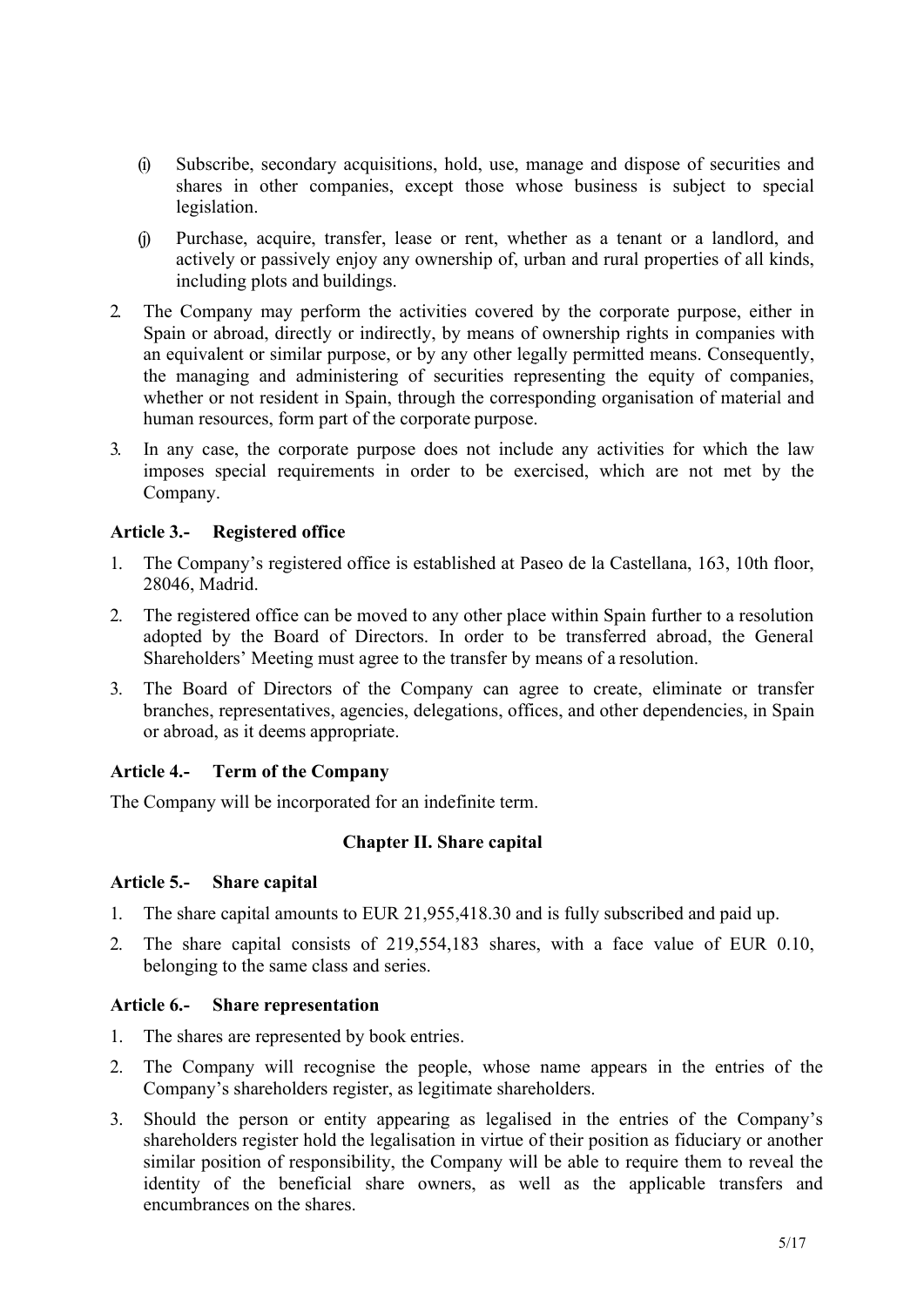- (i) Subscribe, secondary acquisitions, hold, use, manage and dispose of securities and shares in other companies, except those whose business is subject to special legislation.
- (j) Purchase, acquire, transfer, lease or rent, whether as a tenant or a landlord, and actively or passively enjoy any ownership of, urban and rural properties of all kinds, including plots and buildings.
- 2. The Company may perform the activities covered by the corporate purpose, either in Spain or abroad, directly or indirectly, by means of ownership rights in companies with an equivalent or similar purpose, or by any other legally permitted means. Consequently, the managing and administering of securities representing the equity of companies, whether or not resident in Spain, through the corresponding organisation of material and human resources, form part of the corporate purpose.
- 3. In any case, the corporate purpose does not include any activities for which the law imposes special requirements in order to be exercised, which are not met by the Company.

# <span id="page-4-0"></span>**Article 3.- Registered office**

- 1. The Company's registered office is established at Paseo de la Castellana, 163, 10th floor, 28046, Madrid.
- 2. The registered office can be moved to any other place within Spain further to a resolution adopted by the Board of Directors. In order to be transferred abroad, the General Shareholders' Meeting must agree to the transfer by means of a resolution.
- 3. The Board of Directors of the Company can agree to create, eliminate or transfer branches, representatives, agencies, delegations, offices, and other dependencies, in Spain or abroad, as it deems appropriate.

#### <span id="page-4-1"></span>**Article 4.- Term of the Company**

<span id="page-4-2"></span>The Company will be incorporated for an indefinite term.

#### **Chapter II. Share capital**

#### <span id="page-4-3"></span>**Article 5.- Share capital**

- 1. The share capital amounts to EUR 21,955,418.30 and is fully subscribed and paid up.
- 2. The share capital consists of 219,554,183 shares, with a face value of EUR 0.10, belonging to the same class and series.

#### <span id="page-4-4"></span>**Article 6.- Share representation**

- 1. The shares are represented by book entries.
- 2. The Company will recognise the people, whose name appears in the entries of the Company's shareholders register, as legitimate shareholders.
- 3. Should the person or entity appearing as legalised in the entries of the Company's shareholders register hold the legalisation in virtue of their position as fiduciary or another similar position of responsibility, the Company will be able to require them to reveal the identity of the beneficial share owners, as well as the applicable transfers and encumbrances on the shares.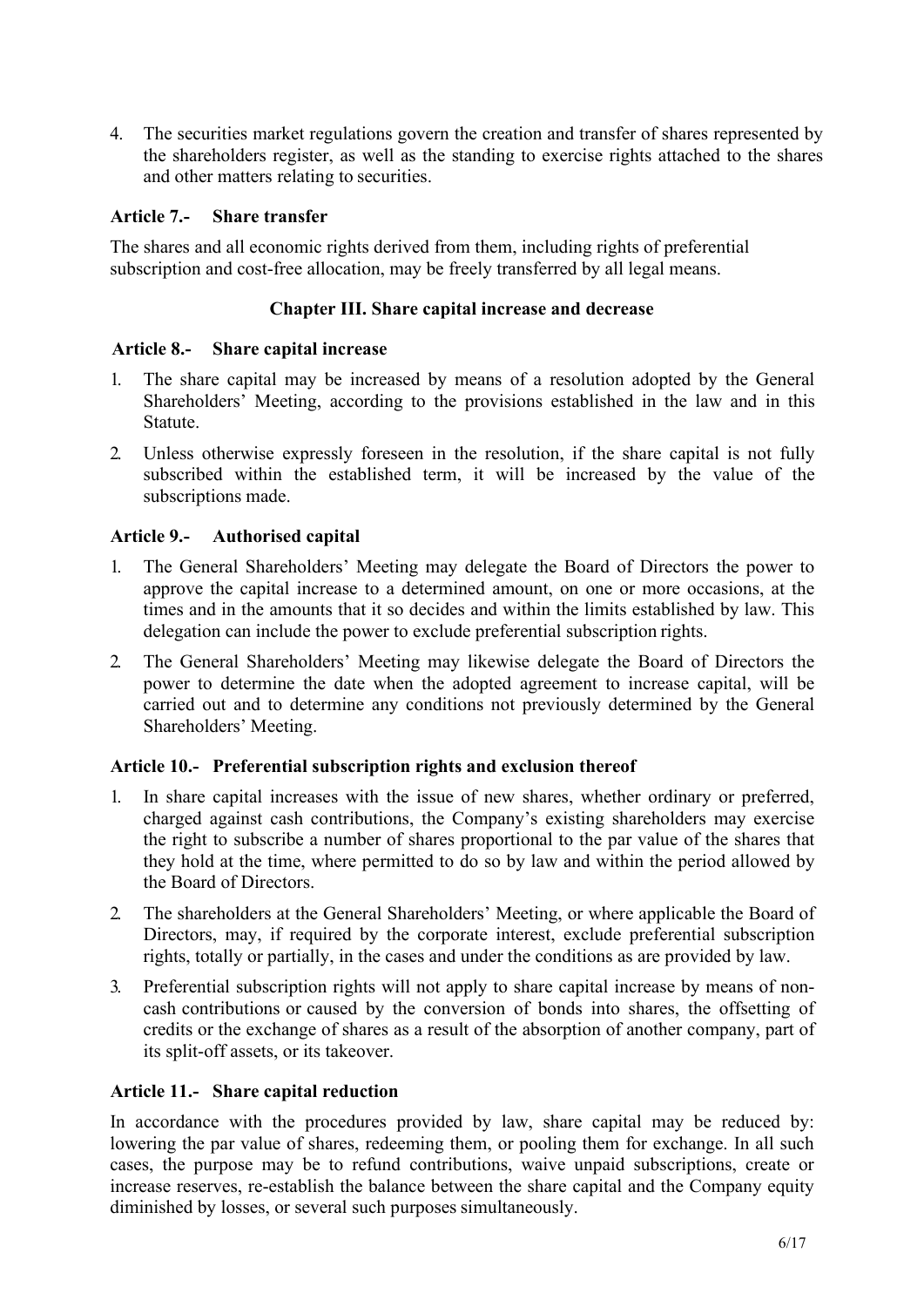4. The securities market regulations govern the creation and transfer of shares represented by the shareholders register, as well as the standing to exercise rights attached to the shares and other matters relating to securities.

## <span id="page-5-0"></span>**Article 7.- Share transfer**

The shares and all economic rights derived from them, including rights of preferential subscription and cost-free allocation, may be freely transferred by all legal means.

## **Chapter III. Share capital increase and decrease**

#### <span id="page-5-1"></span>**Article 8.- Share capital increase**

- 1. The share capital may be increased by means of a resolution adopted by the General Shareholders' Meeting, according to the provisions established in the law and in this Statute.
- 2. Unless otherwise expressly foreseen in the resolution, if the share capital is not fully subscribed within the established term, it will be increased by the value of the subscriptions made.

## <span id="page-5-2"></span>**Article 9.- Authorised capital**

- 1. The General Shareholders' Meeting may delegate the Board of Directors the power to approve the capital increase to a determined amount, on one or more occasions, at the times and in the amounts that it so decides and within the limits established by law. This delegation can include the power to exclude preferential subscription rights.
- 2. The General Shareholders' Meeting may likewise delegate the Board of Directors the power to determine the date when the adopted agreement to increase capital, will be carried out and to determine any conditions not previously determined by the General Shareholders' Meeting.

#### <span id="page-5-3"></span>**Article 10.- Preferential subscription rights and exclusion thereof**

- 1. In share capital increases with the issue of new shares, whether ordinary or preferred, charged against cash contributions, the Company's existing shareholders may exercise the right to subscribe a number of shares proportional to the par value of the shares that they hold at the time, where permitted to do so by law and within the period allowed by the Board of Directors.
- 2. The shareholders at the General Shareholders' Meeting, or where applicable the Board of Directors, may, if required by the corporate interest, exclude preferential subscription rights, totally or partially, in the cases and under the conditions as are provided by law.
- 3. Preferential subscription rights will not apply to share capital increase by means of noncash contributions or caused by the conversion of bonds into shares, the offsetting of credits or the exchange of shares as a result of the absorption of another company, part of its split-off assets, or its takeover.

#### <span id="page-5-4"></span>**Article 11.- Share capital reduction**

In accordance with the procedures provided by law, share capital may be reduced by: lowering the par value of shares, redeeming them, or pooling them for exchange. In all such cases, the purpose may be to refund contributions, waive unpaid subscriptions, create or increase reserves, re-establish the balance between the share capital and the Company equity diminished by losses, or several such purposes simultaneously.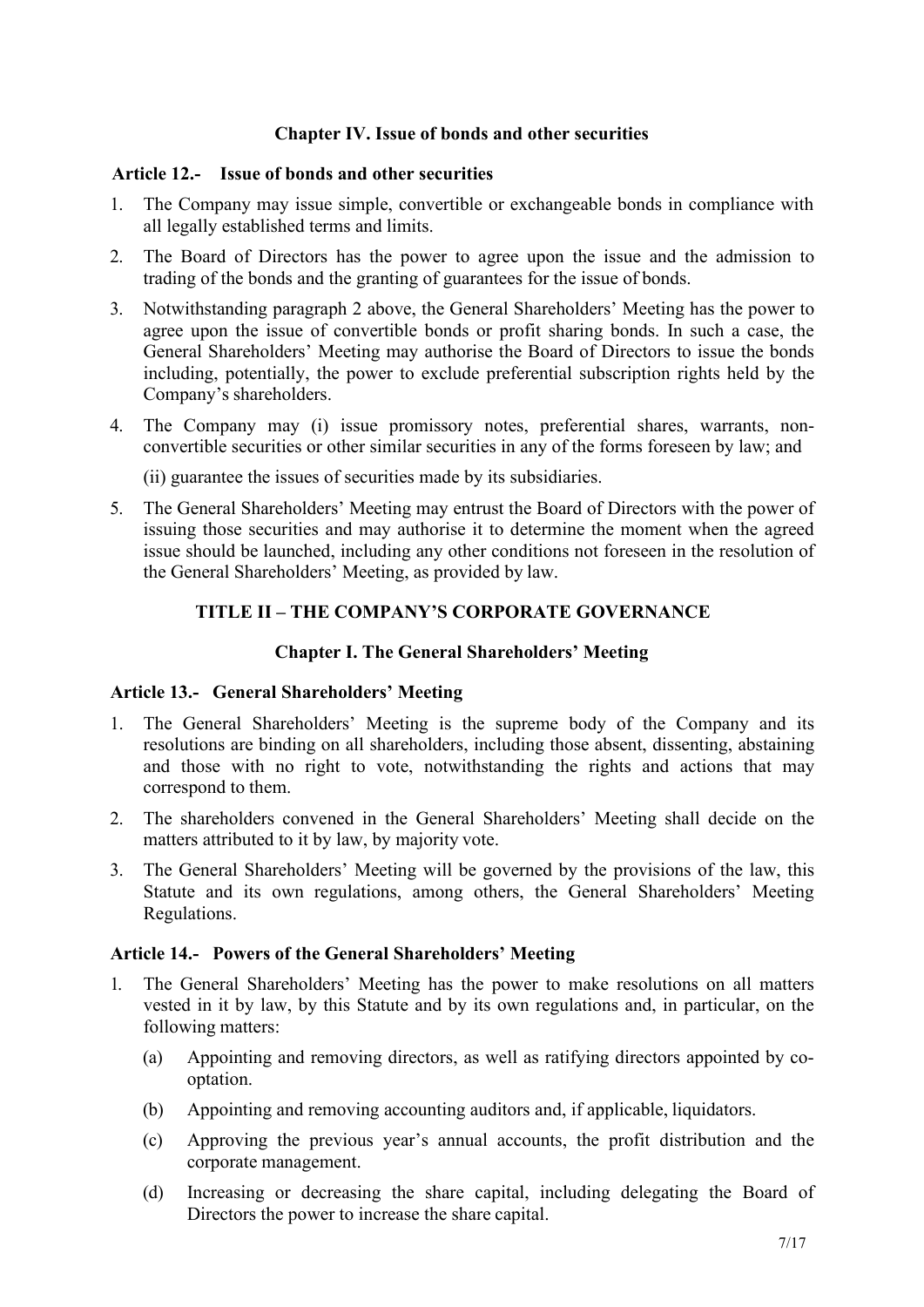## <span id="page-6-1"></span>**Chapter IV. Issue of bonds and other securities**

#### <span id="page-6-0"></span>**Article 12.- Issue of bonds and other securities**

- 1. The Company may issue simple, convertible or exchangeable bonds in compliance with all legally established terms and limits.
- 2. The Board of Directors has the power to agree upon the issue and the admission to trading of the bonds and the granting of guarantees for the issue of bonds.
- 3. Notwithstanding paragraph 2 above, the General Shareholders' Meeting has the power to agree upon the issue of convertible bonds or profit sharing bonds. In such a case, the General Shareholders' Meeting may authorise the Board of Directors to issue the bonds including, potentially, the power to exclude preferential subscription rights held by the Company's shareholders.
- 4. The Company may (i) issue promissory notes, preferential shares, warrants, nonconvertible securities or other similar securities in any of the forms foreseen by law; and

(ii) guarantee the issues of securities made by its subsidiaries.

5. The General Shareholders' Meeting may entrust the Board of Directors with the power of issuing those securities and may authorise it to determine the moment when the agreed issue should be launched, including any other conditions not foreseen in the resolution of the General Shareholders' Meeting, as provided by law.

## **TITLE II – THE COMPANY'S CORPORATE GOVERNANCE**

#### **Chapter I. The General Shareholders' Meeting**

#### <span id="page-6-4"></span><span id="page-6-3"></span><span id="page-6-2"></span>**Article 13.- General Shareholders' Meeting**

- 1. The General Shareholders' Meeting is the supreme body of the Company and its resolutions are binding on all shareholders, including those absent, dissenting, abstaining and those with no right to vote, notwithstanding the rights and actions that may correspond to them.
- 2. The shareholders convened in the General Shareholders' Meeting shall decide on the matters attributed to it by law, by majority vote.
- 3. The General Shareholders' Meeting will be governed by the provisions of the law, this Statute and its own regulations, among others, the General Shareholders' Meeting Regulations.

#### <span id="page-6-5"></span>**Article 14.- Powers of the General Shareholders' Meeting**

- 1. The General Shareholders' Meeting has the power to make resolutions on all matters vested in it by law, by this Statute and by its own regulations and, in particular, on the following matters:
	- (a) Appointing and removing directors, as well as ratifying directors appointed by cooptation.
	- (b) Appointing and removing accounting auditors and, if applicable, liquidators.
	- (c) Approving the previous year's annual accounts, the profit distribution and the corporate management.
	- (d) Increasing or decreasing the share capital, including delegating the Board of Directors the power to increase the share capital.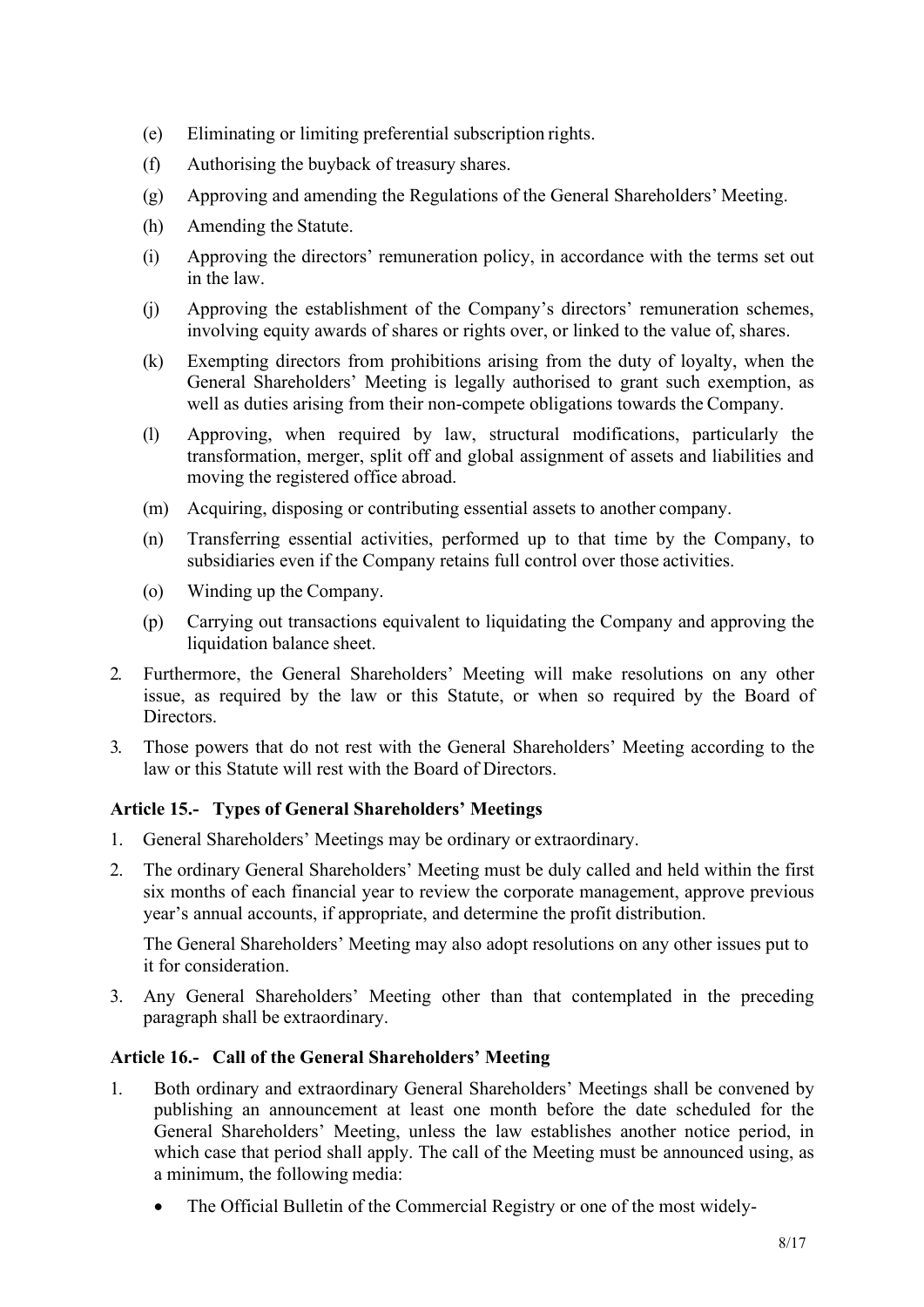- (e) Eliminating or limiting preferential subscription rights.
- (f) Authorising the buyback of treasury shares.
- (g) Approving and amending the Regulations of the General Shareholders' Meeting.
- (h) Amending the Statute.
- (i) Approving the directors' remuneration policy, in accordance with the terms set out in the law.
- (j) Approving the establishment of the Company's directors' remuneration schemes, involving equity awards of shares or rights over, or linked to the value of, shares.
- (k) Exempting directors from prohibitions arising from the duty of loyalty, when the General Shareholders' Meeting is legally authorised to grant such exemption, as well as duties arising from their non-compete obligations towards the Company.
- (l) Approving, when required by law, structural modifications, particularly the transformation, merger, split off and global assignment of assets and liabilities and moving the registered office abroad.
- (m) Acquiring, disposing or contributing essential assets to another company.
- (n) Transferring essential activities, performed up to that time by the Company, to subsidiaries even if the Company retains full control over those activities.
- (o) Winding up the Company.
- (p) Carrying out transactions equivalent to liquidating the Company and approving the liquidation balance sheet.
- 2. Furthermore, the General Shareholders' Meeting will make resolutions on any other issue, as required by the law or this Statute, or when so required by the Board of Directors.
- 3. Those powers that do not rest with the General Shareholders' Meeting according to the law or this Statute will rest with the Board of Directors.

# <span id="page-7-0"></span>**Article 15.- Types of General Shareholders' Meetings**

- 1. General Shareholders' Meetings may be ordinary or extraordinary.
- 2. The ordinary General Shareholders' Meeting must be duly called and held within the first six months of each financial year to review the corporate management, approve previous year's annual accounts, if appropriate, and determine the profit distribution.

The General Shareholders' Meeting may also adopt resolutions on any other issues put to it for consideration.

3. Any General Shareholders' Meeting other than that contemplated in the preceding paragraph shall be extraordinary.

# <span id="page-7-1"></span>**Article 16.- Call of the General Shareholders' Meeting**

- 1. Both ordinary and extraordinary General Shareholders' Meetings shall be convened by publishing an announcement at least one month before the date scheduled for the General Shareholders' Meeting, unless the law establishes another notice period, in which case that period shall apply. The call of the Meeting must be announced using, as a minimum, the following media:
	- The Official Bulletin of the Commercial Registry or one of the most widely-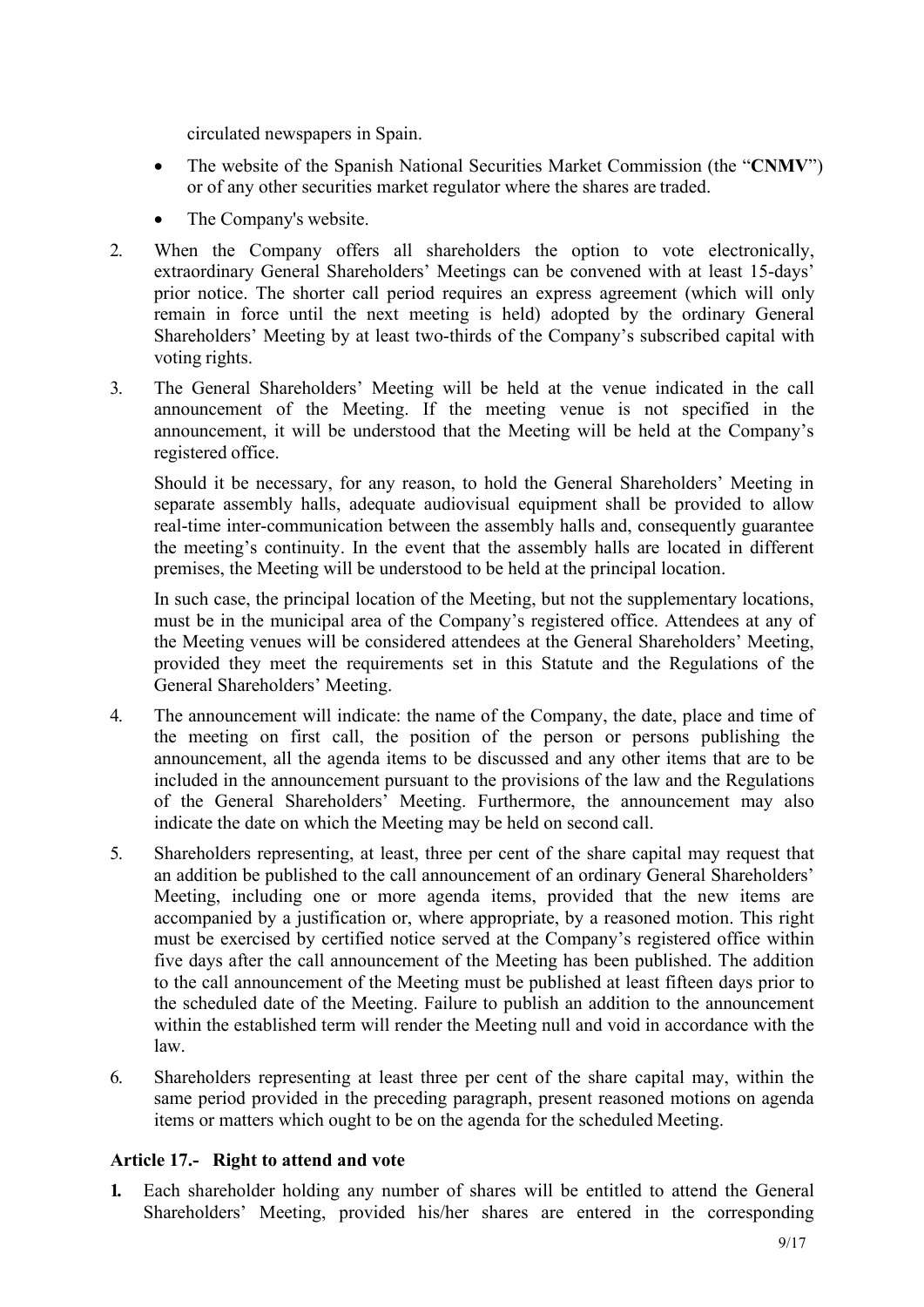circulated newspapers in Spain.

- The website of the Spanish National Securities Market Commission (the "**CNMV**") or of any other securities market regulator where the shares are traded.
- The Company's website.
- 2. When the Company offers all shareholders the option to vote electronically, extraordinary General Shareholders' Meetings can be convened with at least 15-days' prior notice. The shorter call period requires an express agreement (which will only remain in force until the next meeting is held) adopted by the ordinary General Shareholders' Meeting by at least two-thirds of the Company's subscribed capital with voting rights.
- 3. The General Shareholders' Meeting will be held at the venue indicated in the call announcement of the Meeting. If the meeting venue is not specified in the announcement, it will be understood that the Meeting will be held at the Company's registered office.

Should it be necessary, for any reason, to hold the General Shareholders' Meeting in separate assembly halls, adequate audiovisual equipment shall be provided to allow real-time inter-communication between the assembly halls and, consequently guarantee the meeting's continuity. In the event that the assembly halls are located in different premises, the Meeting will be understood to be held at the principal location.

In such case, the principal location of the Meeting, but not the supplementary locations, must be in the municipal area of the Company's registered office. Attendees at any of the Meeting venues will be considered attendees at the General Shareholders' Meeting, provided they meet the requirements set in this Statute and the Regulations of the General Shareholders' Meeting.

- 4. The announcement will indicate: the name of the Company, the date, place and time of the meeting on first call, the position of the person or persons publishing the announcement, all the agenda items to be discussed and any other items that are to be included in the announcement pursuant to the provisions of the law and the Regulations of the General Shareholders' Meeting. Furthermore, the announcement may also indicate the date on which the Meeting may be held on second call.
- 5. Shareholders representing, at least, three per cent of the share capital may request that an addition be published to the call announcement of an ordinary General Shareholders' Meeting, including one or more agenda items, provided that the new items are accompanied by a justification or, where appropriate, by a reasoned motion. This right must be exercised by certified notice served at the Company's registered office within five days after the call announcement of the Meeting has been published. The addition to the call announcement of the Meeting must be published at least fifteen days prior to the scheduled date of the Meeting. Failure to publish an addition to the announcement within the established term will render the Meeting null and void in accordance with the law.
- 6. Shareholders representing at least three per cent of the share capital may, within the same period provided in the preceding paragraph, present reasoned motions on agenda items or matters which ought to be on the agenda for the scheduled Meeting.

# <span id="page-8-0"></span>**Article 17.- Right to attend and vote**

**1.** Each shareholder holding any number of shares will be entitled to attend the General Shareholders' Meeting, provided his/her shares are entered in the corresponding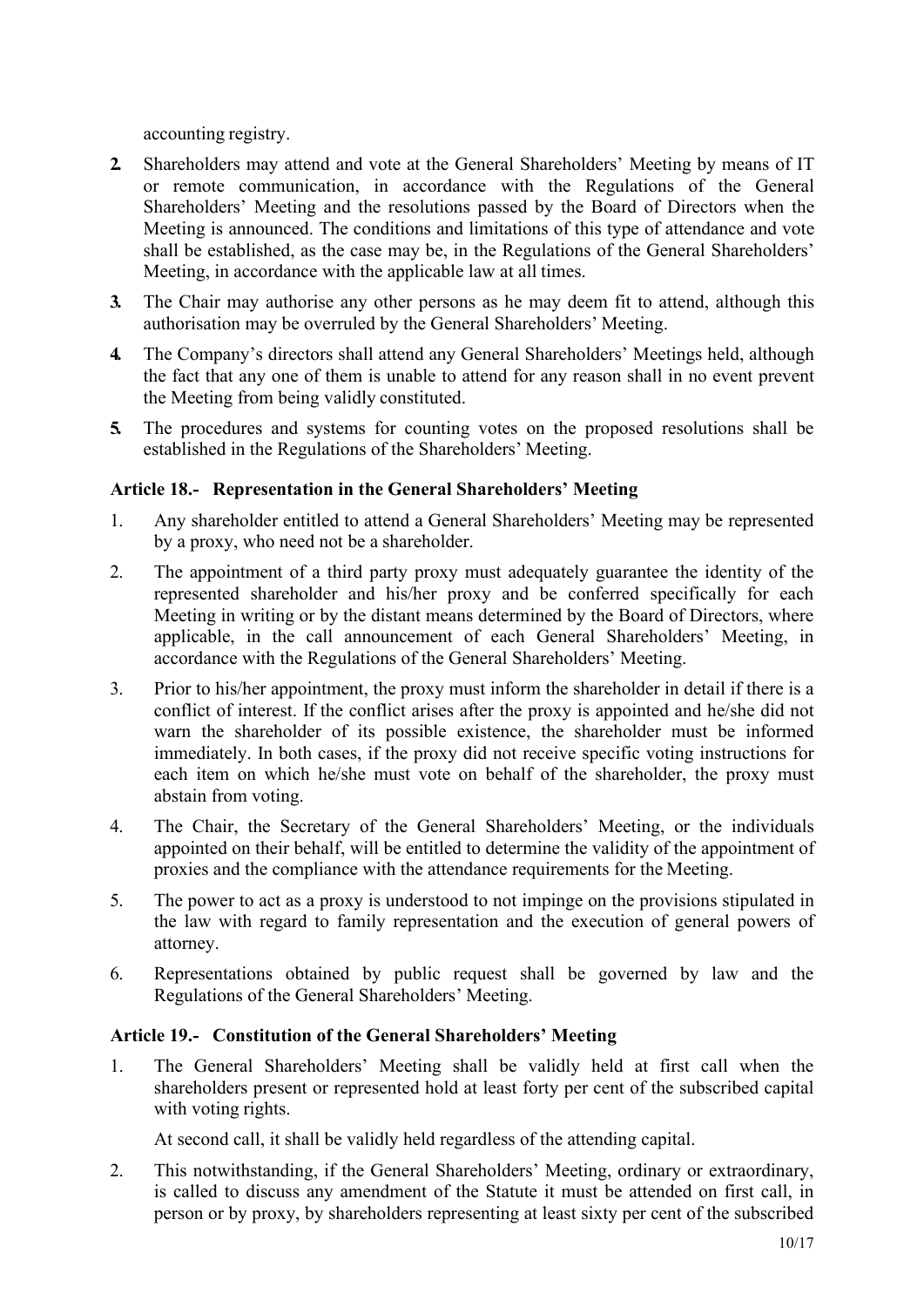accounting registry.

- **2.** Shareholders may attend and vote at the General Shareholders' Meeting by means of IT or remote communication, in accordance with the Regulations of the General Shareholders' Meeting and the resolutions passed by the Board of Directors when the Meeting is announced. The conditions and limitations of this type of attendance and vote shall be established, as the case may be, in the Regulations of the General Shareholders' Meeting, in accordance with the applicable law at all times.
- **3.** The Chair may authorise any other persons as he may deem fit to attend, although this authorisation may be overruled by the General Shareholders' Meeting.
- **4.** The Company's directors shall attend any General Shareholders' Meetings held, although the fact that any one of them is unable to attend for any reason shall in no event prevent the Meeting from being validly constituted.
- **5.** The procedures and systems for counting votes on the proposed resolutions shall be established in the Regulations of the Shareholders' Meeting.

# <span id="page-9-0"></span>**Article 18.- Representation in the General Shareholders' Meeting**

- 1. Any shareholder entitled to attend a General Shareholders' Meeting may be represented by a proxy, who need not be a shareholder.
- 2. The appointment of a third party proxy must adequately guarantee the identity of the represented shareholder and his/her proxy and be conferred specifically for each Meeting in writing or by the distant means determined by the Board of Directors, where applicable, in the call announcement of each General Shareholders' Meeting, in accordance with the Regulations of the General Shareholders' Meeting.
- 3. Prior to his/her appointment, the proxy must inform the shareholder in detail if there is a conflict of interest. If the conflict arises after the proxy is appointed and he/she did not warn the shareholder of its possible existence, the shareholder must be informed immediately. In both cases, if the proxy did not receive specific voting instructions for each item on which he/she must vote on behalf of the shareholder, the proxy must abstain from voting.
- 4. The Chair, the Secretary of the General Shareholders' Meeting, or the individuals appointed on their behalf, will be entitled to determine the validity of the appointment of proxies and the compliance with the attendance requirements for the Meeting.
- 5. The power to act as a proxy is understood to not impinge on the provisions stipulated in the law with regard to family representation and the execution of general powers of attorney.
- 6. Representations obtained by public request shall be governed by law and the Regulations of the General Shareholders' Meeting.

#### <span id="page-9-1"></span>**Article 19.- Constitution of the General Shareholders' Meeting**

1. The General Shareholders' Meeting shall be validly held at first call when the shareholders present or represented hold at least forty per cent of the subscribed capital with voting rights.

At second call, it shall be validly held regardless of the attending capital.

2. This notwithstanding, if the General Shareholders' Meeting, ordinary or extraordinary, is called to discuss any amendment of the Statute it must be attended on first call, in person or by proxy, by shareholders representing at least sixty per cent of the subscribed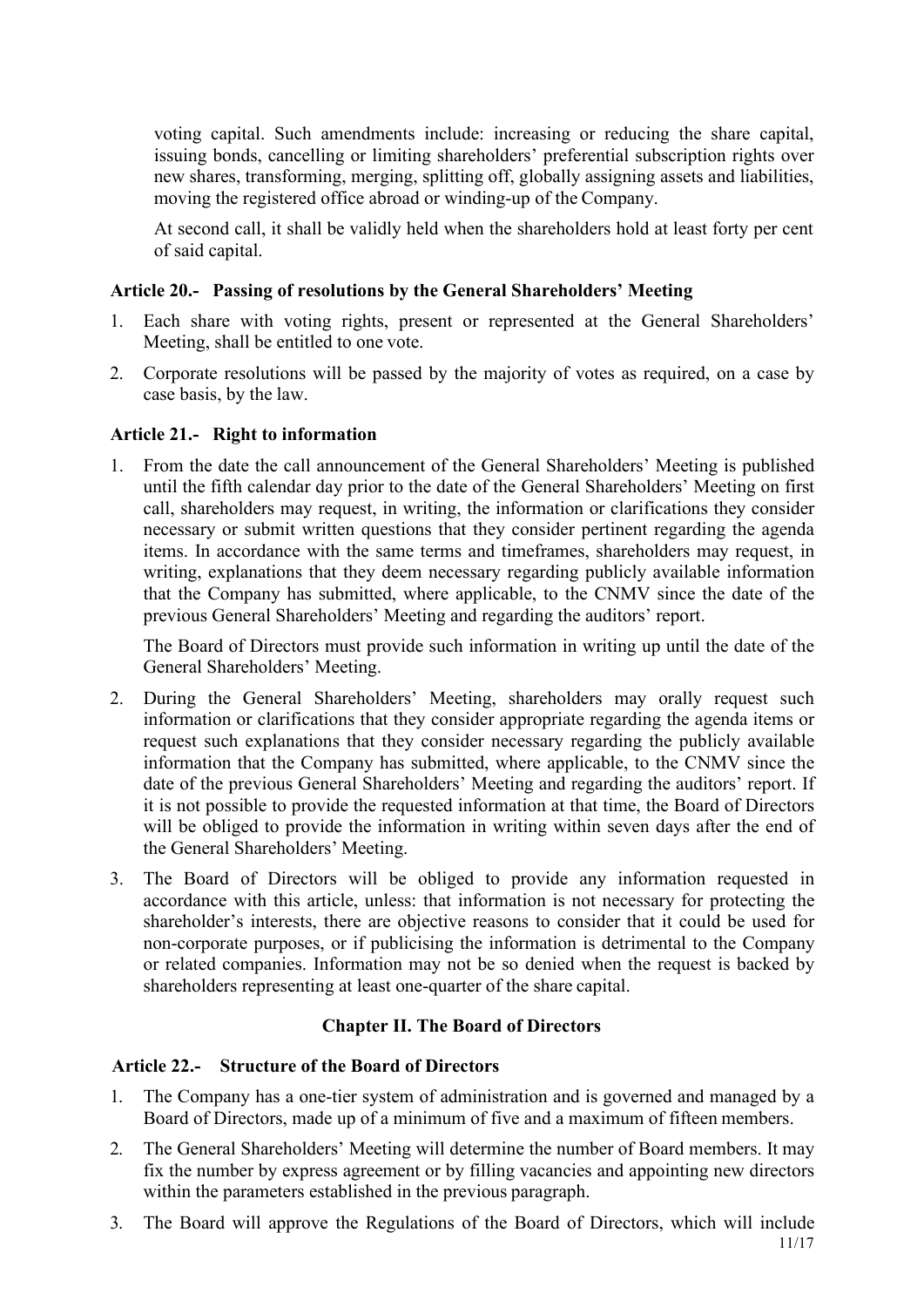voting capital. Such amendments include: increasing or reducing the share capital, issuing bonds, cancelling or limiting shareholders' preferential subscription rights over new shares, transforming, merging, splitting off, globally assigning assets and liabilities, moving the registered office abroad or winding-up of the Company.

At second call, it shall be validly held when the shareholders hold at least forty per cent of said capital.

## <span id="page-10-0"></span>**Article 20.- Passing of resolutions by the General Shareholders' Meeting**

- 1. Each share with voting rights, present or represented at the General Shareholders' Meeting, shall be entitled to one vote.
- 2. Corporate resolutions will be passed by the majority of votes as required, on a case by case basis, by the law.

#### <span id="page-10-1"></span>**Article 21.- Right to information**

1. From the date the call announcement of the General Shareholders' Meeting is published until the fifth calendar day prior to the date of the General Shareholders' Meeting on first call, shareholders may request, in writing, the information or clarifications they consider necessary or submit written questions that they consider pertinent regarding the agenda items. In accordance with the same terms and timeframes, shareholders may request, in writing, explanations that they deem necessary regarding publicly available information that the Company has submitted, where applicable, to the CNMV since the date of the previous General Shareholders' Meeting and regarding the auditors' report.

The Board of Directors must provide such information in writing up until the date of the General Shareholders' Meeting.

- 2. During the General Shareholders' Meeting, shareholders may orally request such information or clarifications that they consider appropriate regarding the agenda items or request such explanations that they consider necessary regarding the publicly available information that the Company has submitted, where applicable, to the CNMV since the date of the previous General Shareholders' Meeting and regarding the auditors' report. If it is not possible to provide the requested information at that time, the Board of Directors will be obliged to provide the information in writing within seven days after the end of the General Shareholders' Meeting.
- 3. The Board of Directors will be obliged to provide any information requested in accordance with this article, unless: that information is not necessary for protecting the shareholder's interests, there are objective reasons to consider that it could be used for non-corporate purposes, or if publicising the information is detrimental to the Company or related companies. Information may not be so denied when the request is backed by shareholders representing at least one-quarter of the share capital.

# <span id="page-10-3"></span>**Chapter II. The Board of Directors**

#### <span id="page-10-2"></span>**Article 22.- Structure of the Board of Directors**

- 1. The Company has a one-tier system of administration and is governed and managed by a Board of Directors, made up of a minimum of five and a maximum of fifteen members.
- 2. The General Shareholders' Meeting will determine the number of Board members. It may fix the number by express agreement or by filling vacancies and appointing new directors within the parameters established in the previous paragraph.
- 11/17 3. The Board will approve the Regulations of the Board of Directors, which will include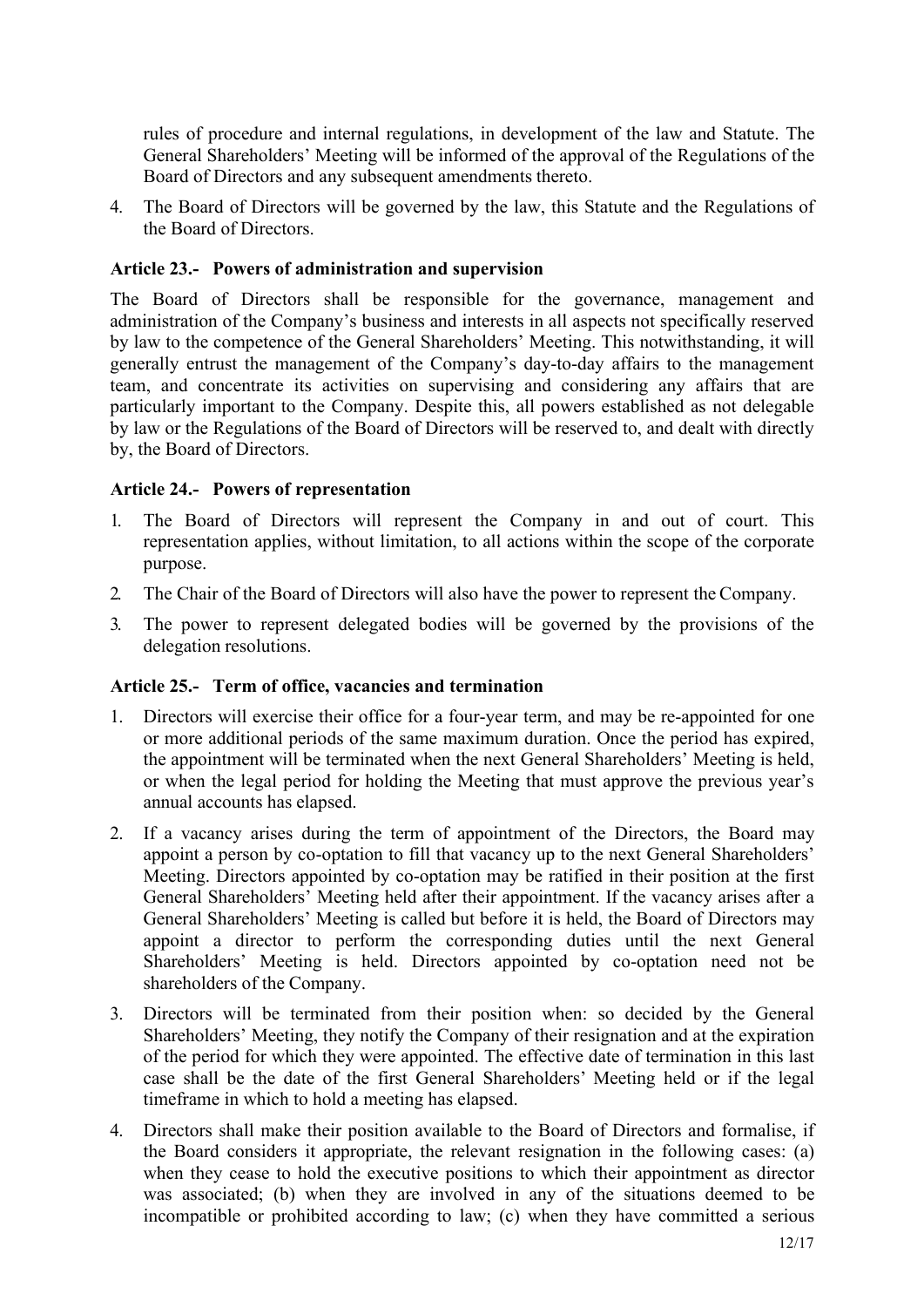rules of procedure and internal regulations, in development of the law and Statute. The General Shareholders' Meeting will be informed of the approval of the Regulations of the Board of Directors and any subsequent amendments thereto.

4. The Board of Directors will be governed by the law, this Statute and the Regulations of the Board of Directors.

#### <span id="page-11-0"></span>**Article 23.- Powers of administration and supervision**

The Board of Directors shall be responsible for the governance, management and administration of the Company's business and interests in all aspects not specifically reserved by law to the competence of the General Shareholders' Meeting. This notwithstanding, it will generally entrust the management of the Company's day-to-day affairs to the management team, and concentrate its activities on supervising and considering any affairs that are particularly important to the Company. Despite this, all powers established as not delegable by law or the Regulations of the Board of Directors will be reserved to, and dealt with directly by, the Board of Directors.

#### <span id="page-11-1"></span>**Article 24.- Powers of representation**

- 1. The Board of Directors will represent the Company in and out of court. This representation applies, without limitation, to all actions within the scope of the corporate purpose.
- 2. The Chair of the Board of Directors will also have the power to represent the Company.
- 3. The power to represent delegated bodies will be governed by the provisions of the delegation resolutions.

#### <span id="page-11-2"></span>**Article 25.- Term of office, vacancies and termination**

- 1. Directors will exercise their office for a four-year term, and may be re-appointed for one or more additional periods of the same maximum duration. Once the period has expired, the appointment will be terminated when the next General Shareholders' Meeting is held, or when the legal period for holding the Meeting that must approve the previous year's annual accounts has elapsed.
- 2. If a vacancy arises during the term of appointment of the Directors, the Board may appoint a person by co-optation to fill that vacancy up to the next General Shareholders' Meeting. Directors appointed by co-optation may be ratified in their position at the first General Shareholders' Meeting held after their appointment. If the vacancy arises after a General Shareholders' Meeting is called but before it is held, the Board of Directors may appoint a director to perform the corresponding duties until the next General Shareholders' Meeting is held. Directors appointed by co-optation need not be shareholders of the Company.
- 3. Directors will be terminated from their position when: so decided by the General Shareholders' Meeting, they notify the Company of their resignation and at the expiration of the period for which they were appointed. The effective date of termination in this last case shall be the date of the first General Shareholders' Meeting held or if the legal timeframe in which to hold a meeting has elapsed.
- 4. Directors shall make their position available to the Board of Directors and formalise, if the Board considers it appropriate, the relevant resignation in the following cases: (a) when they cease to hold the executive positions to which their appointment as director was associated; (b) when they are involved in any of the situations deemed to be incompatible or prohibited according to law; (c) when they have committed a serious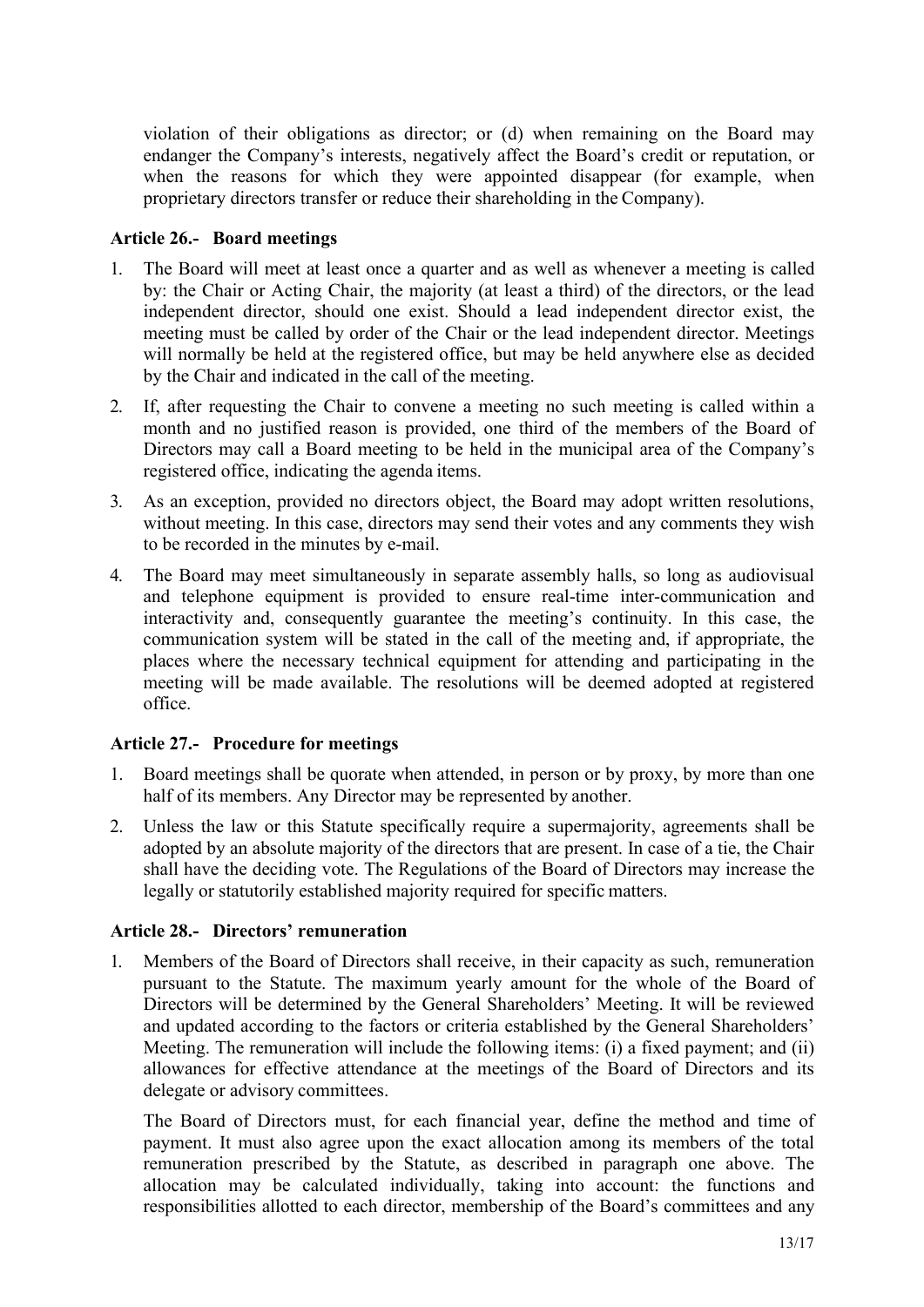violation of their obligations as director; or (d) when remaining on the Board may endanger the Company's interests, negatively affect the Board's credit or reputation, or when the reasons for which they were appointed disappear (for example, when proprietary directors transfer or reduce their shareholding in the Company).

## <span id="page-12-0"></span>**Article 26.- Board meetings**

- 1. The Board will meet at least once a quarter and as well as whenever a meeting is called by: the Chair or Acting Chair, the majority (at least a third) of the directors, or the lead independent director, should one exist. Should a lead independent director exist, the meeting must be called by order of the Chair or the lead independent director. Meetings will normally be held at the registered office, but may be held anywhere else as decided by the Chair and indicated in the call of the meeting.
- 2. If, after requesting the Chair to convene a meeting no such meeting is called within a month and no justified reason is provided, one third of the members of the Board of Directors may call a Board meeting to be held in the municipal area of the Company's registered office, indicating the agenda items.
- 3. As an exception, provided no directors object, the Board may adopt written resolutions, without meeting. In this case, directors may send their votes and any comments they wish to be recorded in the minutes by e-mail.
- 4. The Board may meet simultaneously in separate assembly halls, so long as audiovisual and telephone equipment is provided to ensure real-time inter-communication and interactivity and, consequently guarantee the meeting's continuity. In this case, the communication system will be stated in the call of the meeting and, if appropriate, the places where the necessary technical equipment for attending and participating in the meeting will be made available. The resolutions will be deemed adopted at registered office.

# <span id="page-12-1"></span>**Article 27.- Procedure for meetings**

- 1. Board meetings shall be quorate when attended, in person or by proxy, by more than one half of its members. Any Director may be represented by another.
- 2. Unless the law or this Statute specifically require a supermajority, agreements shall be adopted by an absolute majority of the directors that are present. In case of a tie, the Chair shall have the deciding vote. The Regulations of the Board of Directors may increase the legally or statutorily established majority required for specific matters.

#### <span id="page-12-2"></span>**Article 28.- Directors' remuneration**

1. Members of the Board of Directors shall receive, in their capacity as such, remuneration pursuant to the Statute. The maximum yearly amount for the whole of the Board of Directors will be determined by the General Shareholders' Meeting. It will be reviewed and updated according to the factors or criteria established by the General Shareholders' Meeting. The remuneration will include the following items: (i) a fixed payment; and (ii) allowances for effective attendance at the meetings of the Board of Directors and its delegate or advisory committees.

The Board of Directors must, for each financial year, define the method and time of payment. It must also agree upon the exact allocation among its members of the total remuneration prescribed by the Statute, as described in paragraph one above. The allocation may be calculated individually, taking into account: the functions and responsibilities allotted to each director, membership of the Board's committees and any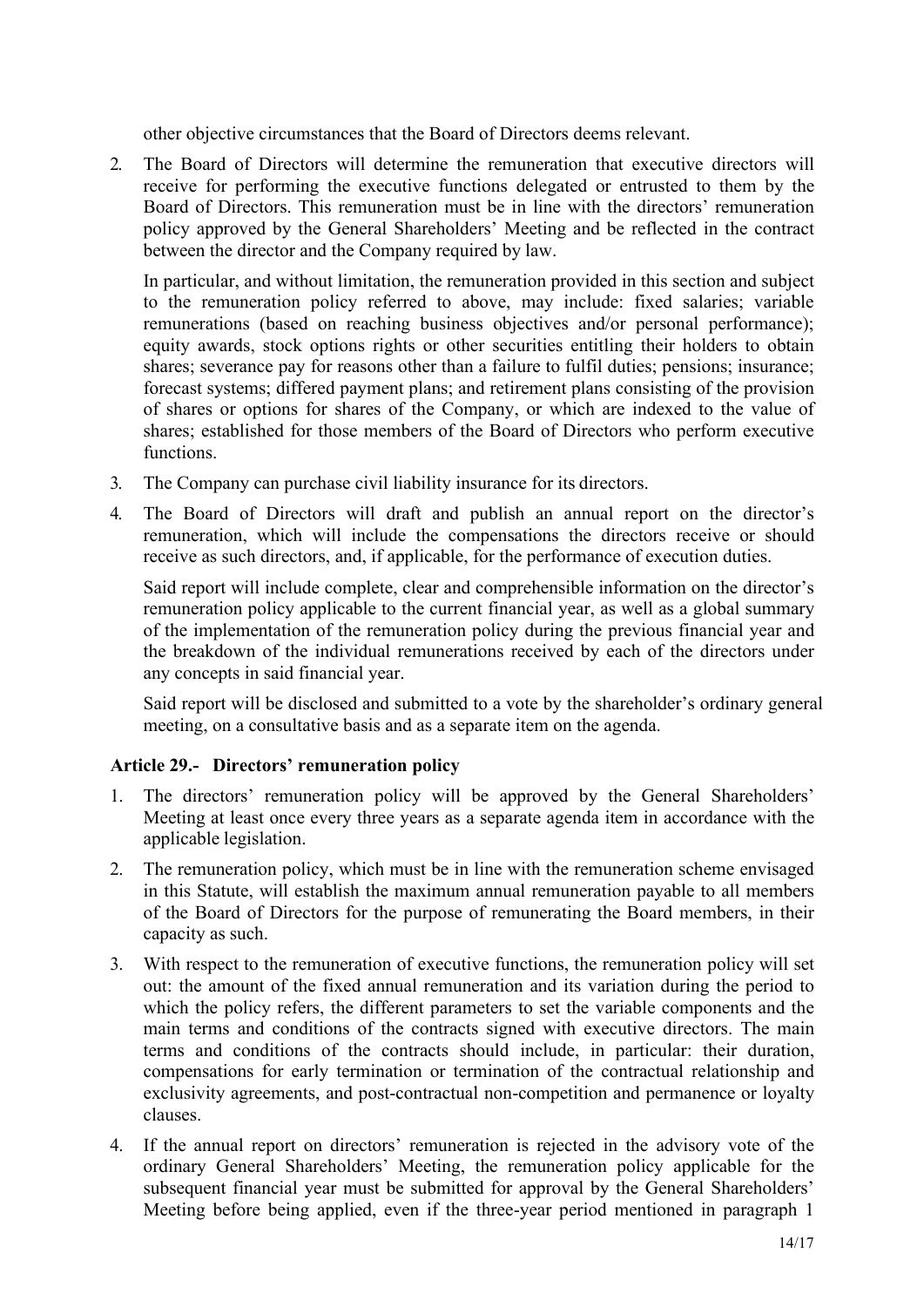other objective circumstances that the Board of Directors deems relevant.

2. The Board of Directors will determine the remuneration that executive directors will receive for performing the executive functions delegated or entrusted to them by the Board of Directors. This remuneration must be in line with the directors' remuneration policy approved by the General Shareholders' Meeting and be reflected in the contract between the director and the Company required by law.

In particular, and without limitation, the remuneration provided in this section and subject to the remuneration policy referred to above, may include: fixed salaries; variable remunerations (based on reaching business objectives and/or personal performance); equity awards, stock options rights or other securities entitling their holders to obtain shares; severance pay for reasons other than a failure to fulfil duties; pensions; insurance; forecast systems; differed payment plans; and retirement plans consisting of the provision of shares or options for shares of the Company, or which are indexed to the value of shares; established for those members of the Board of Directors who perform executive functions.

- 3. The Company can purchase civil liability insurance for its directors.
- 4. The Board of Directors will draft and publish an annual report on the director's remuneration, which will include the compensations the directors receive or should receive as such directors, and, if applicable, for the performance of execution duties.

Said report will include complete, clear and comprehensible information on the director's remuneration policy applicable to the current financial year, as well as a global summary of the implementation of the remuneration policy during the previous financial year and the breakdown of the individual remunerations received by each of the directors under any concepts in said financial year.

Said report will be disclosed and submitted to a vote by the shareholder's ordinary general meeting, on a consultative basis and as a separate item on the agenda.

# <span id="page-13-0"></span>**Article 29.- Directors' remuneration policy**

- 1. The directors' remuneration policy will be approved by the General Shareholders' Meeting at least once every three years as a separate agenda item in accordance with the applicable legislation.
- 2. The remuneration policy, which must be in line with the remuneration scheme envisaged in this Statute, will establish the maximum annual remuneration payable to all members of the Board of Directors for the purpose of remunerating the Board members, in their capacity as such.
- 3. With respect to the remuneration of executive functions, the remuneration policy will set out: the amount of the fixed annual remuneration and its variation during the period to which the policy refers, the different parameters to set the variable components and the main terms and conditions of the contracts signed with executive directors. The main terms and conditions of the contracts should include, in particular: their duration, compensations for early termination or termination of the contractual relationship and exclusivity agreements, and post-contractual non-competition and permanence or loyalty clauses.
- 4. If the annual report on directors' remuneration is rejected in the advisory vote of the ordinary General Shareholders' Meeting, the remuneration policy applicable for the subsequent financial year must be submitted for approval by the General Shareholders' Meeting before being applied, even if the three-year period mentioned in paragraph 1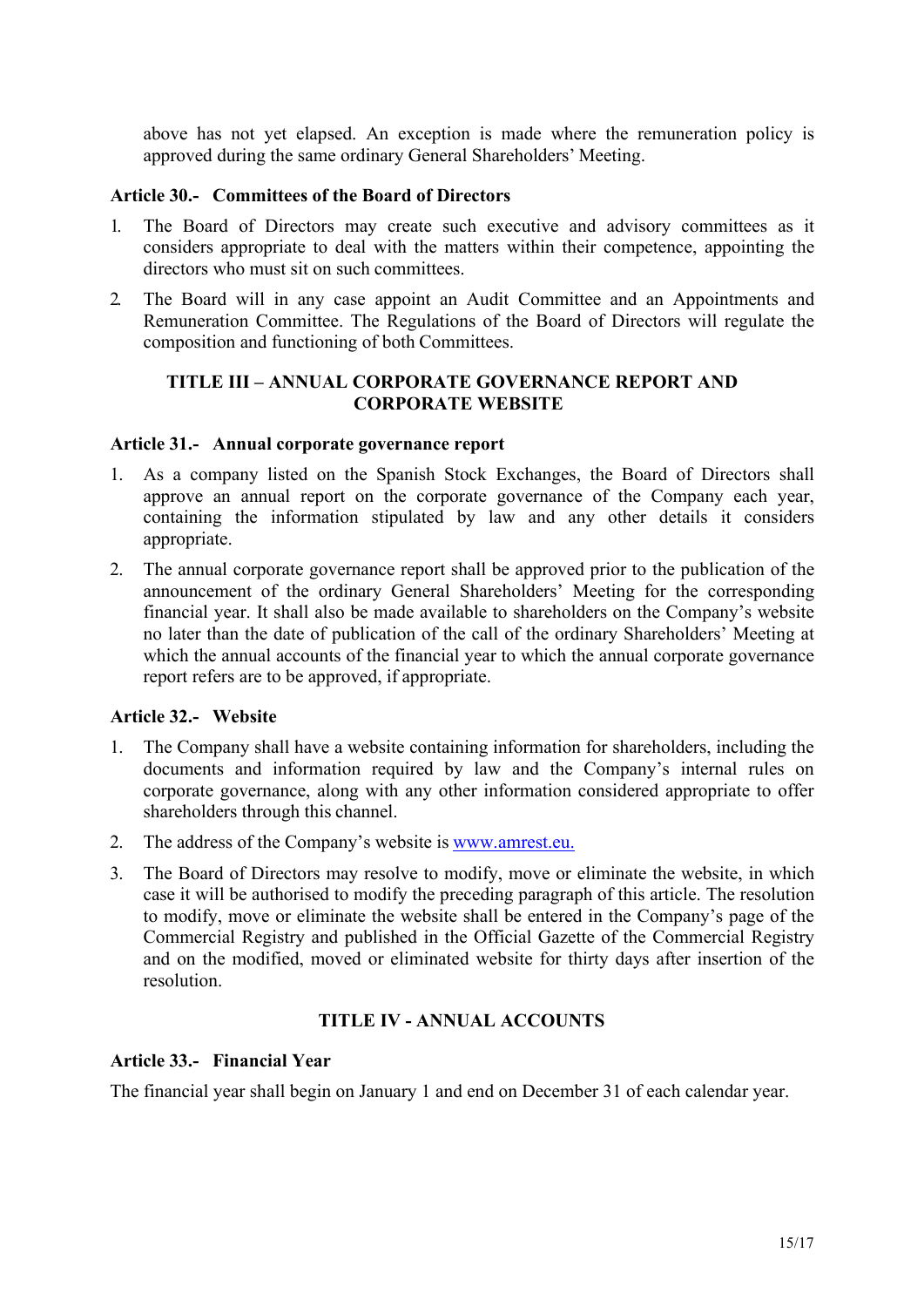above has not yet elapsed. An exception is made where the remuneration policy is approved during the same ordinary General Shareholders' Meeting.

#### <span id="page-14-0"></span>**Article 30.- Committees of the Board of Directors**

- 1. The Board of Directors may create such executive and advisory committees as it considers appropriate to deal with the matters within their competence, appointing the directors who must sit on such committees.
- 2. The Board will in any case appoint an Audit Committee and an Appointments and Remuneration Committee. The Regulations of the Board of Directors will regulate the composition and functioning of both Committees.

### <span id="page-14-1"></span>**TITLE III – ANNUAL CORPORATE GOVERNANCE REPORT AND CORPORATE WEBSITE**

#### <span id="page-14-2"></span>**Article 31.- Annual corporate governance report**

- 1. As a company listed on the Spanish Stock Exchanges, the Board of Directors shall approve an annual report on the corporate governance of the Company each year, containing the information stipulated by law and any other details it considers appropriate.
- 2. The annual corporate governance report shall be approved prior to the publication of the announcement of the ordinary General Shareholders' Meeting for the corresponding financial year. It shall also be made available to shareholders on the Company's website no later than the date of publication of the call of the ordinary Shareholders' Meeting at which the annual accounts of the financial year to which the annual corporate governance report refers are to be approved, if appropriate.

# <span id="page-14-3"></span>**Article 32.- Website**

- 1. The Company shall have a website containing information for shareholders, including the documents and information required by law and the Company's internal rules on corporate governance, along with any other information considered appropriate to offer shareholders through this channel.
- 2. The address of the Company's website is [www.amrest.eu.](http://www.amrest.eu./)
- 3. The Board of Directors may resolve to modify, move or eliminate the website, in which case it will be authorised to modify the preceding paragraph of this article. The resolution to modify, move or eliminate the website shall be entered in the Company's page of the Commercial Registry and published in the Official Gazette of the Commercial Registry and on the modified, moved or eliminated website for thirty days after insertion of the resolution.

#### **TITLE IV - ANNUAL ACCOUNTS**

#### <span id="page-14-5"></span><span id="page-14-4"></span>**Article 33.- Financial Year**

<span id="page-14-6"></span>The financial year shall begin on January 1 and end on December 31 of each calendar year.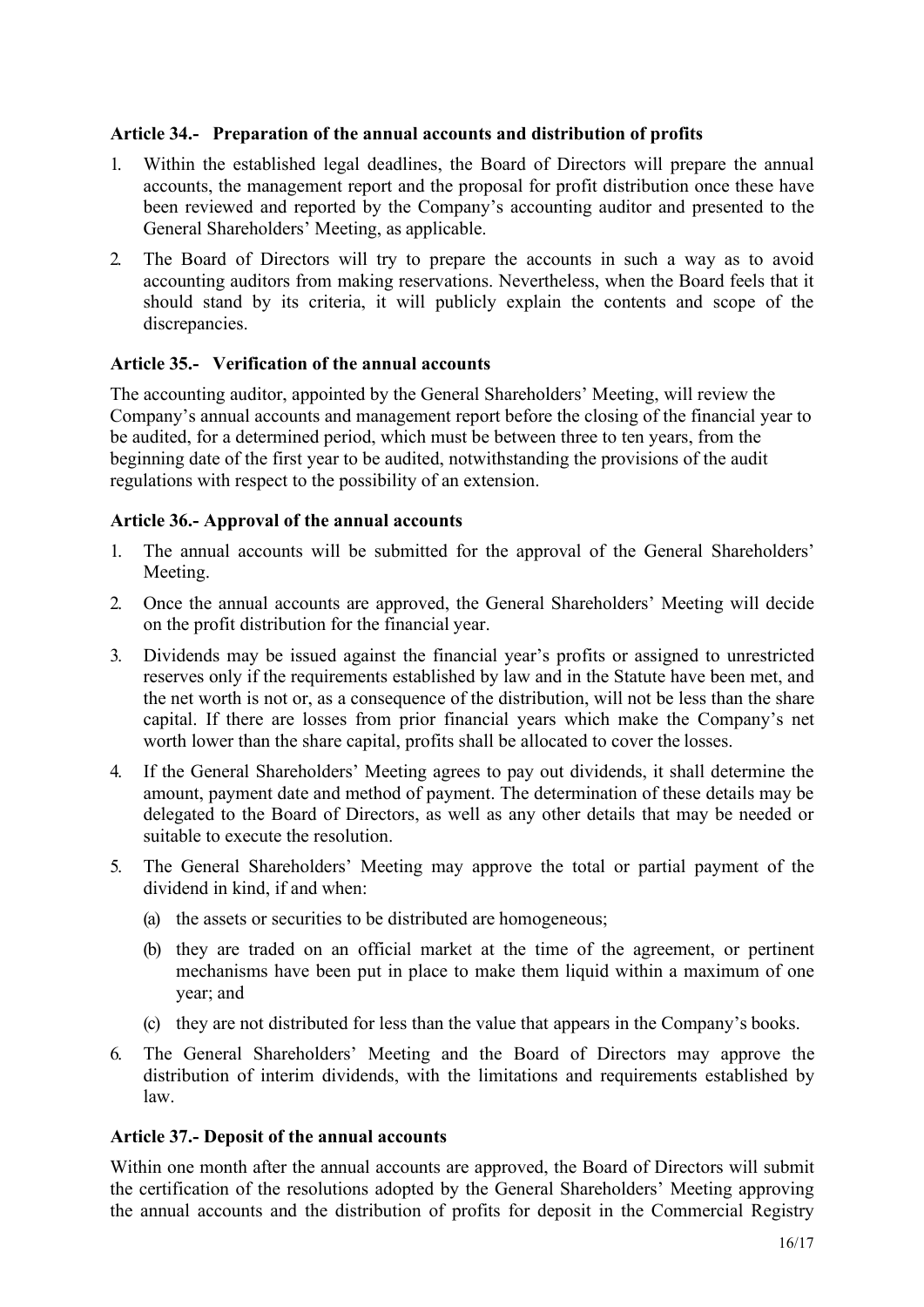## **Article 34.- Preparation of the annual accounts and distribution of profits**

- 1. Within the established legal deadlines, the Board of Directors will prepare the annual accounts, the management report and the proposal for profit distribution once these have been reviewed and reported by the Company's accounting auditor and presented to the General Shareholders' Meeting, as applicable.
- 2. The Board of Directors will try to prepare the accounts in such a way as to avoid accounting auditors from making reservations. Nevertheless, when the Board feels that it should stand by its criteria, it will publicly explain the contents and scope of the discrepancies.

## <span id="page-15-0"></span>**Article 35.- Verification of the annual accounts**

The accounting auditor, appointed by the General Shareholders' Meeting, will review the Company's annual accounts and management report before the closing of the financial year to be audited, for a determined period, which must be between three to ten years, from the beginning date of the first year to be audited, notwithstanding the provisions of the audit regulations with respect to the possibility of an extension.

#### <span id="page-15-1"></span>**Article 36.- Approval of the annual accounts**

- 1. The annual accounts will be submitted for the approval of the General Shareholders' Meeting.
- 2. Once the annual accounts are approved, the General Shareholders' Meeting will decide on the profit distribution for the financial year.
- 3. Dividends may be issued against the financial year's profits or assigned to unrestricted reserves only if the requirements established by law and in the Statute have been met, and the net worth is not or, as a consequence of the distribution, will not be less than the share capital. If there are losses from prior financial years which make the Company's net worth lower than the share capital, profits shall be allocated to cover the losses.
- 4. If the General Shareholders' Meeting agrees to pay out dividends, it shall determine the amount, payment date and method of payment. The determination of these details may be delegated to the Board of Directors, as well as any other details that may be needed or suitable to execute the resolution.
- 5. The General Shareholders' Meeting may approve the total or partial payment of the dividend in kind, if and when:
	- (a) the assets or securities to be distributed are homogeneous;
	- (b) they are traded on an official market at the time of the agreement, or pertinent mechanisms have been put in place to make them liquid within a maximum of one year; and
	- (c) they are not distributed for less than the value that appears in the Company's books.
- 6. The General Shareholders' Meeting and the Board of Directors may approve the distribution of interim dividends, with the limitations and requirements established by law.

#### <span id="page-15-2"></span>**Article 37.- Deposit of the annual accounts**

Within one month after the annual accounts are approved, the Board of Directors will submit the certification of the resolutions adopted by the General Shareholders' Meeting approving the annual accounts and the distribution of profits for deposit in the Commercial Registry